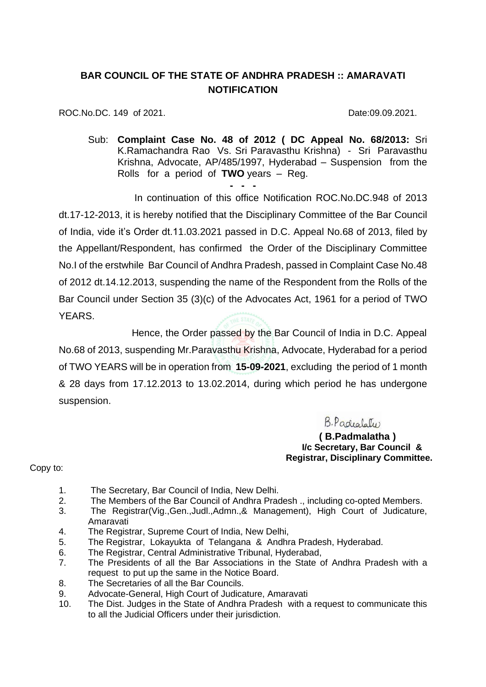## **BAR COUNCIL OF THE STATE OF ANDHRA PRADESH :: AMARAVATI NOTIFICATION**

ROC.No.DC. 149 of 2021. 2008. 2010. Date:09.09.2021.

Sub: **Complaint Case No. 48 of 2012 ( DC Appeal No. 68/2013:** Sri K.Ramachandra Rao Vs. Sri Paravasthu Krishna) - Sri Paravasthu Krishna, Advocate, AP/485/1997, Hyderabad – Suspension from the Rolls for a period of **TWO** years – Reg.

**- - -** In continuation of this office Notification ROC.No.DC.948 of 2013 dt.17-12-2013, it is hereby notified that the Disciplinary Committee of the Bar Council of India, vide it's Order dt.11.03.2021 passed in D.C. Appeal No.68 of 2013, filed by the Appellant/Respondent, has confirmed the Order of the Disciplinary Committee No.I of the erstwhile Bar Council of Andhra Pradesh, passed in Complaint Case No.48 of 2012 dt.14.12.2013, suspending the name of the Respondent from the Rolls of the Bar Council under Section 35 (3)(c) of the Advocates Act, 1961 for a period of TWO YEARS.

 Hence, the Order passed by the Bar Council of India in D.C. Appeal No.68 of 2013, suspending Mr.Paravasthu Krishna, Advocate, Hyderabad for a period of TWO YEARS will be in operation from **15-09-2021**, excluding the period of 1 month & 28 days from 17.12.2013 to 13.02.2014, during which period he has undergone suspension.

B. Padealater

**( B.Padmalatha ) I/c Secretary, Bar Council & Registrar, Disciplinary Committee.**

Copy to:

- 1. The Secretary, Bar Council of India, New Delhi.
- 2. The Members of the Bar Council of Andhra Pradesh ., including co-opted Members.
- 3. The Registrar(Vig.,Gen.,Judl.,Admn.,& Management), High Court of Judicature, Amaravati
- 4. The Registrar, Supreme Court of India, New Delhi,
- 5. The Registrar, Lokayukta of Telangana & Andhra Pradesh, Hyderabad.
- 6. The Registrar, Central Administrative Tribunal, Hyderabad,
- 7. The Presidents of all the Bar Associations in the State of Andhra Pradesh with a request to put up the same in the Notice Board.
- 8. The Secretaries of all the Bar Councils.
- 9. Advocate-General, High Court of Judicature, Amaravati
- 10. The Dist. Judges in the State of Andhra Pradesh with a request to communicate this to all the Judicial Officers under their jurisdiction.